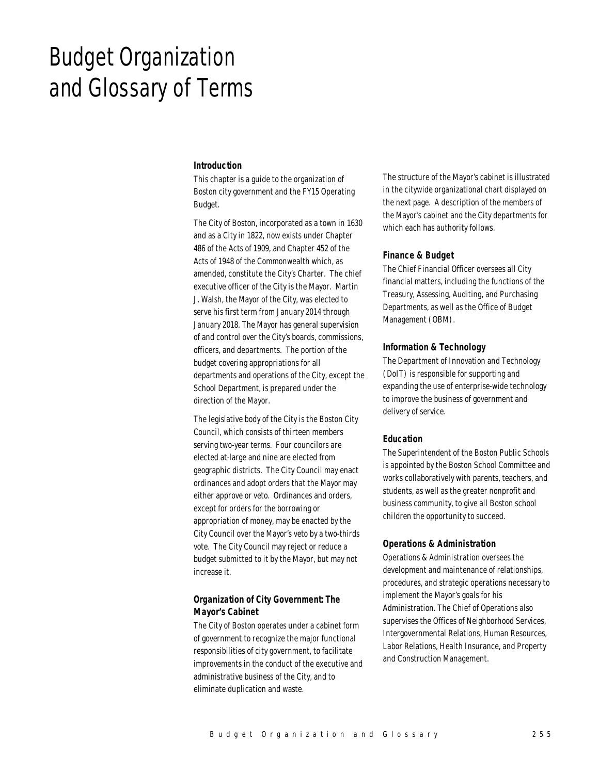# Budget Organization and Glossary of Terms

#### *Introduction*

This chapter is a guide to the organization of Boston city government and the FY15 Operating Budget.

The City of Boston, incorporated as a town in 1630 and as a City in 1822, now exists under Chapter 486 of the Acts of 1909, and Chapter 452 of the Acts of 1948 of the Commonwealth which, as amended, constitute the City's Charter. The chief executive officer of the City is the Mayor. Martin J. Walsh, the Mayor of the City, was elected to serve his first term from January 2014 through January 2018. The Mayor has general supervision of and control over the City's boards, commissions, officers, and departments. The portion of the budget covering appropriations for all departments and operations of the City, except the School Department, is prepared under the direction of the Mayor.

The legislative body of the City is the Boston City Council, which consists of thirteen members serving two-year terms. Four councilors are elected at-large and nine are elected from geographic districts. The City Council may enact ordinances and adopt orders that the Mayor may either approve or veto. Ordinances and orders, except for orders for the borrowing or appropriation of money, may be enacted by the City Council over the Mayor's veto by a two-thirds vote. The City Council may reject or reduce a budget submitted to it by the Mayor, but may not increase it.

# *Organization of City Government: The Mayor's Cabinet*

The City of Boston operates under a cabinet form of government to recognize the major functional responsibilities of city government, to facilitate improvements in the conduct of the executive and administrative business of the City, and to eliminate duplication and waste.

The structure of the Mayor's cabinet is illustrated in the citywide organizational chart displayed on the next page. A description of the members of the Mayor's cabinet and the City departments for which each has authority follows.

# *Finance & Budget*

The Chief Financial Officer oversees all City financial matters, including the functions of the Treasury, Assessing, Auditing, and Purchasing Departments, as well as the Office of Budget Management (OBM).

#### *Information & Technology*

The Department of Innovation and Technology (DoIT) is responsible for supporting and expanding the use of enterprise-wide technology to improve the business of government and delivery of service.

## *Education*

The Superintendent of the Boston Public Schools is appointed by the Boston School Committee and works collaboratively with parents, teachers, and students, as well as the greater nonprofit and business community, to give all Boston school children the opportunity to succeed.

## *Operations & Administration*

Operations & Administration oversees the development and maintenance of relationships, procedures, and strategic operations necessary to implement the Mayor's goals for his Administration. The Chief of Operations also supervises the Offices of Neighborhood Services, Intergovernmental Relations, Human Resources, Labor Relations, Health Insurance, and Property and Construction Management.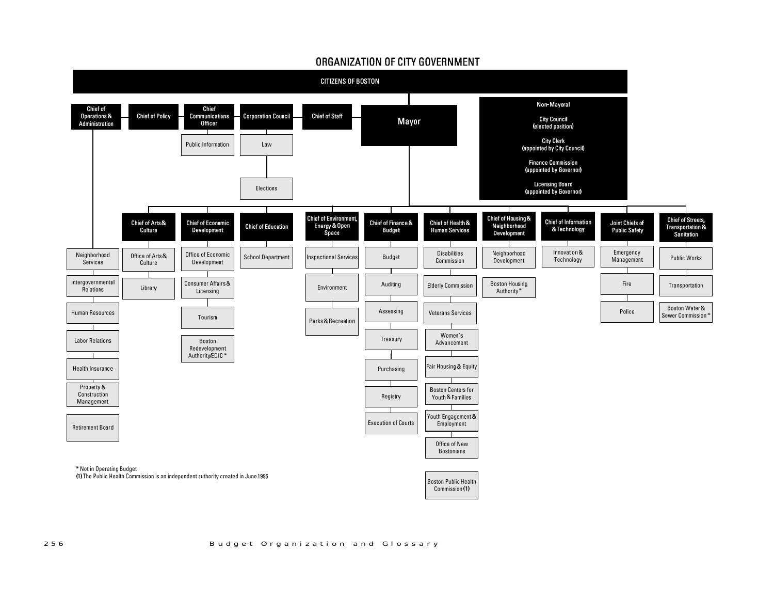

# ORGANIZATION OF CITY GOVERNMENT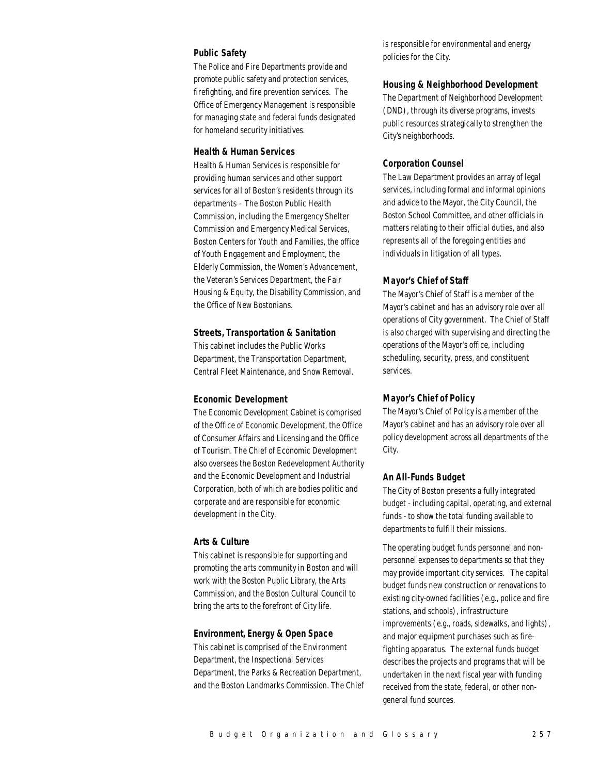# *Public Safety*

The Police and Fire Departments provide and promote public safety and protection services, firefighting, and fire prevention services. The Office of Emergency Management is responsible for managing state and federal funds designated for homeland security initiatives.

#### *Health & Human Services*

Health & Human Services is responsible for providing human services and other support services for all of Boston's residents through its departments – The Boston Public Health Commission, including the Emergency Shelter Commission and Emergency Medical Services, Boston Centers for Youth and Families, the office of Youth Engagement and Employment, the Elderly Commission, the Women's Advancement, the Veteran's Services Department, the Fair Housing & Equity, the Disability Commission, and the Office of New Bostonians.

# *Streets, Transportation & Sanitation*

This cabinet includes the Public Works Department, the Transportation Department, Central Fleet Maintenance, and Snow Removal.

#### *Economic Development*

The Economic Development Cabinet is comprised of the Office of Economic Development, the Office of Consumer Affairs and Licensing and the Office of Tourism. The Chief of Economic Development also oversees the Boston Redevelopment Authority and the Economic Development and Industrial Corporation, both of which are bodies politic and corporate and are responsible for economic development in the City.

## *Arts & Culture*

This cabinet is responsible for supporting and promoting the arts community in Boston and will work with the Boston Public Library, the Arts Commission, and the Boston Cultural Council to bring the arts to the forefront of City life.

#### *Environment, Energy & Open Space*

This cabinet is comprised of the Environment Department, the Inspectional Services Department, the Parks & Recreation Department, and the Boston Landmarks Commission. The Chief is responsible for environmental and energy policies for the City.

#### *Housing & Neighborhood Development*

The Department of Neighborhood Development (DND), through its diverse programs, invests public resources strategically to strengthen the City's neighborhoods.

#### *Corporation Counsel*

The Law Department provides an array of legal services, including formal and informal opinions and advice to the Mayor, the City Council, the Boston School Committee, and other officials in matters relating to their official duties, and also represents all of the foregoing entities and individuals in litigation of all types.

#### *Mayor's Chief of Staff*

The Mayor's Chief of Staff is a member of the Mayor's cabinet and has an advisory role over all operations of City government. The Chief of Staff is also charged with supervising and directing the operations of the Mayor's office, including scheduling, security, press, and constituent services.

## *Mayor's Chief of Policy*

The Mayor's Chief of Policy is a member of the Mayor's cabinet and has an advisory role over all policy development across all departments of the City.

#### *An All-Funds Budget*

The City of Boston presents a fully integrated budget - including capital, operating, and external funds - to show the total funding available to departments to fulfill their missions.

The operating budget funds personnel and nonpersonnel expenses to departments so that they may provide important city services. The capital budget funds new construction or renovations to existing city-owned facilities (e.g., police and fire stations, and schools), infrastructure improvements (e.g., roads, sidewalks, and lights), and major equipment purchases such as firefighting apparatus. The external funds budget describes the projects and programs that will be undertaken in the next fiscal year with funding received from the state, federal, or other nongeneral fund sources.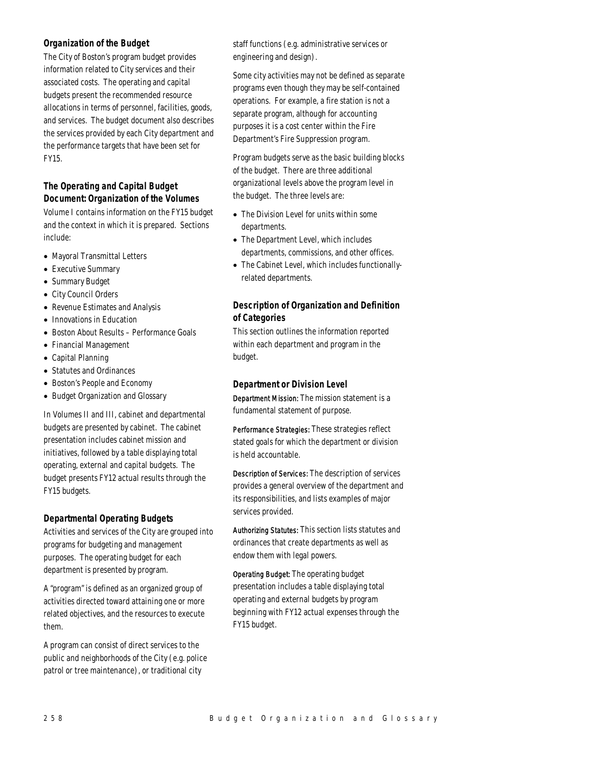# *Organization of the Budget*

The City of Boston's program budget provides information related to City services and their associated costs. The operating and capital budgets present the recommended resource allocations in terms of personnel, facilities, goods, and services. The budget document also describes the services provided by each City department and the performance targets that have been set for FY15.

# *The Operating and Capital Budget Document: Organization of the Volumes*

Volume I contains information on the FY15 budget and the context in which it is prepared. Sections include:

- Mayoral Transmittal Letters
- Executive Summary
- Summary Budget
- City Council Orders
- Revenue Estimates and Analysis
- Innovations in Education
- Boston About Results Performance Goals
- Financial Management
- Capital Planning
- Statutes and Ordinances
- Boston's People and Economy
- Budget Organization and Glossary

In Volumes II and III, cabinet and departmental budgets are presented by cabinet. The cabinet presentation includes cabinet mission and initiatives, followed by a table displaying total operating, external and capital budgets. The budget presents FY12 actual results through the FY15 budgets.

# *Departmental Operating Budgets*

Activities and services of the City are grouped into programs for budgeting and management purposes. The operating budget for each department is presented by program.

A "program" is defined as an organized group of activities directed toward attaining one or more related objectives, and the resources to execute them.

A program can consist of direct services to the public and neighborhoods of the City (e.g. police patrol or tree maintenance), or traditional city

staff functions (e.g. administrative services or engineering and design).

Some city activities may not be defined as separate programs even though they may be self-contained operations. For example, a fire station is not a separate program, although for accounting purposes it is a cost center within the Fire Department's Fire Suppression program.

Program budgets serve as the basic building blocks of the budget. There are three additional organizational levels above the program level in the budget. The three levels are:

- The Division Level for units within some departments.
- The Department Level, which includes departments, commissions, and other offices.
- The Cabinet Level, which includes functionallyrelated departments.

# *Description of Organization and Definition of Categories*

This section outlines the information reported within each department and program in the budget.

# *Department or Division Level*

Department Mission: The mission statement is a fundamental statement of purpose.

Performance Strategies: These strategies reflect stated goals for which the department or division is held accountable.

Description of Services: The description of services provides a general overview of the department and its responsibilities, and lists examples of major services provided.

Authorizing Statutes: This section lists statutes and ordinances that create departments as well as endow them with legal powers.

Operating Budget: The operating budget presentation includes a table displaying total operating and external budgets by program beginning with FY12 actual expenses through the FY15 budget.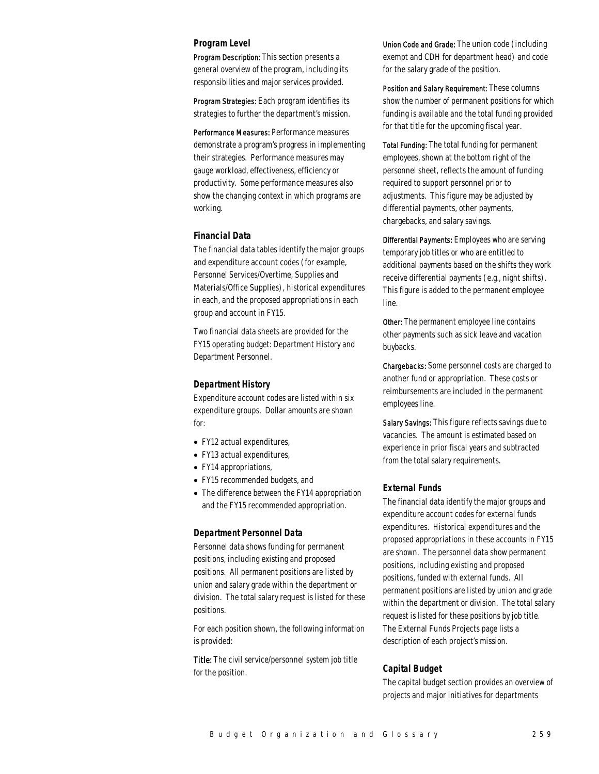#### *Program Level*

Program Description: This section presents a general overview of the program, including its responsibilities and major services provided.

Program Strategies: Each program identifies its strategies to further the department's mission.

Performance Measures: Performance measures demonstrate a program's progress in implementing their strategies. Performance measures may gauge workload, effectiveness, efficiency or productivity. Some performance measures also show the changing context in which programs are working.

# *Financial Data*

The financial data tables identify the major groups and expenditure account codes (for example, Personnel Services/Overtime, Supplies and Materials/Office Supplies), historical expenditures in each, and the proposed appropriations in each group and account in FY15.

Two financial data sheets are provided for the FY15 operating budget: Department History and Department Personnel.

#### *Department History*

Expenditure account codes are listed within six expenditure groups. Dollar amounts are shown for:

- FY12 actual expenditures,
- FY13 actual expenditures,
- FY14 appropriations,
- FY15 recommended budgets, and
- The difference between the FY14 appropriation and the FY15 recommended appropriation.

#### *Department Personnel Data*

Personnel data shows funding for permanent positions, including existing and proposed positions. All permanent positions are listed by union and salary grade within the department or division. The total salary request is listed for these positions.

For each position shown, the following information is provided:

Title: The civil service/personnel system job title for the position.

Union Code and Grade: The union code (including exempt and CDH for department head) and code for the salary grade of the position.

Position and Salary Requirement: These columns show the number of permanent positions for which funding is available and the total funding provided for that title for the upcoming fiscal year.

Total Funding: The total funding for permanent employees, shown at the bottom right of the personnel sheet, reflects the amount of funding required to support personnel prior to adjustments. This figure may be adjusted by differential payments, other payments, chargebacks, and salary savings.

Differential Payments: Employees who are serving temporary job titles or who are entitled to additional payments based on the shifts they work receive differential payments (e.g., night shifts). This figure is added to the permanent employee line.

Other: The permanent employee line contains other payments such as sick leave and vacation buybacks.

Chargebacks: Some personnel costs are charged to another fund or appropriation. These costs or reimbursements are included in the permanent employees line.

Salary Savings: This figure reflects savings due to vacancies. The amount is estimated based on experience in prior fiscal years and subtracted from the total salary requirements.

# *External Funds*

The financial data identify the major groups and expenditure account codes for external funds expenditures. Historical expenditures and the proposed appropriations in these accounts in FY15 are shown. The personnel data show permanent positions, including existing and proposed positions, funded with external funds. All permanent positions are listed by union and grade within the department or division. The total salary request is listed for these positions by job title. The External Funds Projects page lists a description of each project's mission.

## *Capital Budget*

The capital budget section provides an overview of projects and major initiatives for departments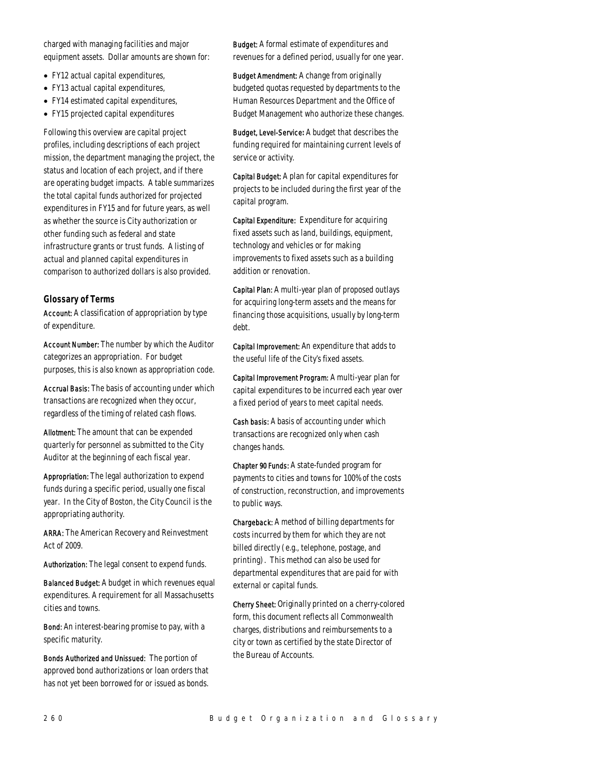charged with managing facilities and major equipment assets. Dollar amounts are shown for:

- FY12 actual capital expenditures,
- FY13 actual capital expenditures,
- FY14 estimated capital expenditures,
- FY15 projected capital expenditures

Following this overview are capital project profiles, including descriptions of each project mission, the department managing the project, the status and location of each project, and if there are operating budget impacts. A table summarizes the total capital funds authorized for projected expenditures in FY15 and for future years, as well as whether the source is City authorization or other funding such as federal and state infrastructure grants or trust funds. A listing of actual and planned capital expenditures in comparison to authorized dollars is also provided.

## *Glossary of Terms*

Account: A classification of appropriation by type of expenditure.

Account Number: The number by which the Auditor categorizes an appropriation. For budget purposes, this is also known as appropriation code.

Accrual Basis: The basis of accounting under which transactions are recognized when they occur, regardless of the timing of related cash flows.

Allotment: The amount that can be expended quarterly for personnel as submitted to the City Auditor at the beginning of each fiscal year.

Appropriation: The legal authorization to expend funds during a specific period, usually one fiscal year. In the City of Boston, the City Council is the appropriating authority.

ARRA: The American Recovery and Reinvestment Act of 2009.

Authorization: The legal consent to expend funds.

Balanced Budget: A budget in which revenues equal expenditures. A requirement for all Massachusetts cities and towns.

Bond: An interest-bearing promise to pay, with a specific maturity.

Bonds Authorized and Unissued: The portion of approved bond authorizations or loan orders that has not yet been borrowed for or issued as bonds.

Budget: A formal estimate of expenditures and revenues for a defined period, usually for one year.

Budget Amendment: A change from originally budgeted quotas requested by departments to the Human Resources Department and the Office of Budget Management who authorize these changes.

Budget, Level-Service*:* A budget that describes the funding required for maintaining current levels of service or activity.

Capital Budget: A plan for capital expenditures for projects to be included during the first year of the capital program.

Capital Expenditure: Expenditure for acquiring fixed assets such as land, buildings, equipment, technology and vehicles or for making improvements to fixed assets such as a building addition or renovation.

Capital Plan: A multi-year plan of proposed outlays for acquiring long-term assets and the means for financing those acquisitions, usually by long-term debt.

Capital Improvement: An expenditure that adds to the useful life of the City's fixed assets.

Capital Improvement Program: A multi-year plan for capital expenditures to be incurred each year over a fixed period of years to meet capital needs.

Cash basis: A basis of accounting under which transactions are recognized only when cash changes hands.

Chapter 90 Funds: A state-funded program for payments to cities and towns for 100% of the costs of construction, reconstruction, and improvements to public ways.

Chargeback: A method of billing departments for costs incurred by them for which they are not billed directly (e.g., telephone, postage, and printing). This method can also be used for departmental expenditures that are paid for with external or capital funds.

Cherry Sheet: Originally printed on a cherry-colored form, this document reflects all Commonwealth charges, distributions and reimbursements to a city or town as certified by the state Director of the Bureau of Accounts.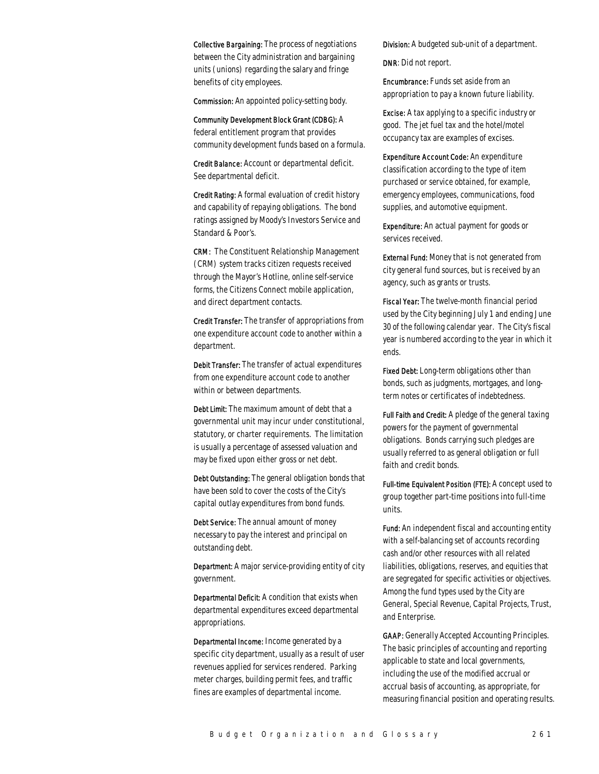Collective Bargaining: The process of negotiations between the City administration and bargaining units (unions) regarding the salary and fringe benefits of city employees.

Commission: An appointed policy-setting body.

Community Development Block Grant (CDBG): A federal entitlement program that provides community development funds based on a formula.

Credit Balance: Account or departmental deficit. See departmental deficit.

Credit Rating: A formal evaluation of credit history and capability of repaying obligations. The bond ratings assigned by Moody's Investors Service and Standard & Poor's.

CRM: The Constituent Relationship Management (CRM) system tracks citizen requests received through the Mayor's Hotline, online self-service forms, the Citizens Connect mobile application, and direct department contacts.

Credit Transfer: The transfer of appropriations from one expenditure account code to another within a department.

Debit Transfer: The transfer of actual expenditures from one expenditure account code to another within or between departments.

Debt Limit: The maximum amount of debt that a governmental unit may incur under constitutional, statutory, or charter requirements. The limitation is usually a percentage of assessed valuation and may be fixed upon either gross or net debt.

Debt Outstanding: The general obligation bonds that have been sold to cover the costs of the City's capital outlay expenditures from bond funds.

Debt Service: The annual amount of money necessary to pay the interest and principal on outstanding debt.

Department: A major service-providing entity of city government.

Departmental Deficit: A condition that exists when departmental expenditures exceed departmental appropriations.

Departmental Income: Income generated by a specific city department, usually as a result of user revenues applied for services rendered. Parking meter charges, building permit fees, and traffic fines are examples of departmental income.

Division: A budgeted sub-unit of a department.

DNR: Did not report.

Encumbrance: Funds set aside from an appropriation to pay a known future liability.

Excise: A tax applying to a specific industry or good. The jet fuel tax and the hotel/motel occupancy tax are examples of excises.

Expenditure Account Code: An expenditure classification according to the type of item purchased or service obtained, for example, emergency employees, communications, food supplies, and automotive equipment.

Expenditure: An actual payment for goods or services received.

External Fund: Money that is not generated from city general fund sources, but is received by an agency, such as grants or trusts.

Fiscal Year: The twelve-month financial period used by the City beginning July 1 and ending June 30 of the following calendar year. The City's fiscal year is numbered according to the year in which it ends.

Fixed Debt: Long-term obligations other than bonds, such as judgments, mortgages, and longterm notes or certificates of indebtedness.

Full Faith and Credit: A pledge of the general taxing powers for the payment of governmental obligations. Bonds carrying such pledges are usually referred to as general obligation or full faith and credit bonds.

Full-time Equivalent Position (FTE): A concept used to group together part-time positions into full-time units.

Fund: An independent fiscal and accounting entity with a self-balancing set of accounts recording cash and/or other resources with all related liabilities, obligations, reserves, and equities that are segregated for specific activities or objectives. Among the fund types used by the City are General, Special Revenue, Capital Projects, Trust, and Enterprise.

GAAP: Generally Accepted Accounting Principles. The basic principles of accounting and reporting applicable to state and local governments, including the use of the modified accrual or accrual basis of accounting, as appropriate, for measuring financial position and operating results.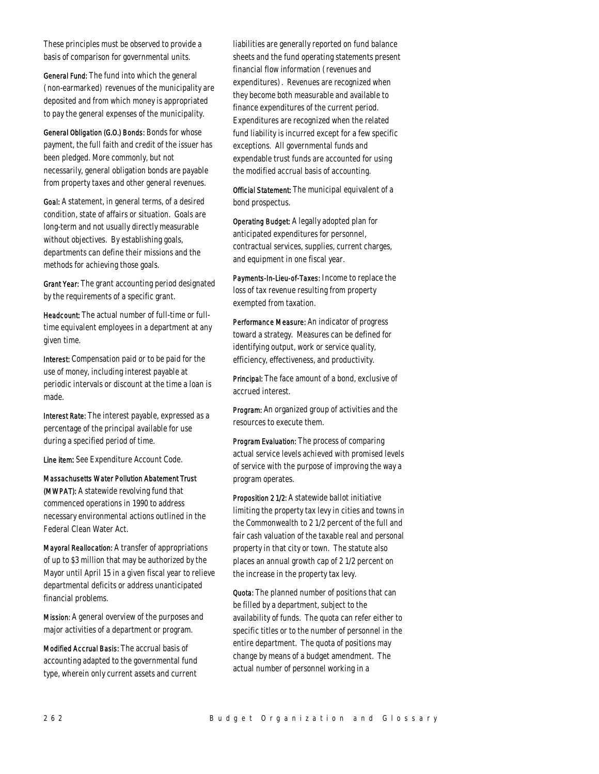These principles must be observed to provide a basis of comparison for governmental units.

General Fund: The fund into which the general (non-earmarked) revenues of the municipality are deposited and from which money is appropriated to pay the general expenses of the municipality.

General Obligation (G.O.) Bonds: Bonds for whose payment, the full faith and credit of the issuer has been pledged. More commonly, but not necessarily, general obligation bonds are payable from property taxes and other general revenues.

Goal: A statement, in general terms, of a desired condition, state of affairs or situation. Goals are long-term and not usually directly measurable without objectives. By establishing goals, departments can define their missions and the methods for achieving those goals.

Grant Year: The grant accounting period designated by the requirements of a specific grant.

Headcount: The actual number of full-time or fulltime equivalent employees in a department at any given time.

Interest: Compensation paid or to be paid for the use of money, including interest payable at periodic intervals or discount at the time a loan is made.

Interest Rate: The interest payable, expressed as a percentage of the principal available for use during a specified period of time.

Line item: See Expenditure Account Code.

Massachusetts Water Pollution Abatement Trust (MWPAT): A statewide revolving fund that commenced operations in 1990 to address necessary environmental actions outlined in the Federal Clean Water Act.

Mayoral Reallocation: A transfer of appropriations of up to \$3 million that may be authorized by the Mayor until April 15 in a given fiscal year to relieve departmental deficits or address unanticipated financial problems.

Mission: A general overview of the purposes and major activities of a department or program.

Modified Accrual Basis: The accrual basis of accounting adapted to the governmental fund type, wherein only current assets and current

liabilities are generally reported on fund balance sheets and the fund operating statements present financial flow information (revenues and expenditures). Revenues are recognized when they become both measurable and available to finance expenditures of the current period. Expenditures are recognized when the related fund liability is incurred except for a few specific exceptions. All governmental funds and expendable trust funds are accounted for using the modified accrual basis of accounting.

Official Statement: The municipal equivalent of a bond prospectus.

Operating Budget: A legally adopted plan for anticipated expenditures for personnel, contractual services, supplies, current charges, and equipment in one fiscal year.

Payments-In-Lieu-of-Taxes: Income to replace the loss of tax revenue resulting from property exempted from taxation.

Performance Measure: An indicator of progress toward a strategy. Measures can be defined for identifying output, work or service quality, efficiency, effectiveness, and productivity.

Principal: The face amount of a bond, exclusive of accrued interest.

Program: An organized group of activities and the resources to execute them.

Program Evaluation: The process of comparing actual service levels achieved with promised levels of service with the purpose of improving the way a program operates.

Proposition 2 1/2: A statewide ballot initiative limiting the property tax levy in cities and towns in the Commonwealth to 2 1/2 percent of the full and fair cash valuation of the taxable real and personal property in that city or town. The statute also places an annual growth cap of 2 1/2 percent on the increase in the property tax levy.

Quota: The planned number of positions that can be filled by a department, subject to the availability of funds. The quota can refer either to specific titles or to the number of personnel in the entire department. The quota of positions may change by means of a budget amendment. The actual number of personnel working in a